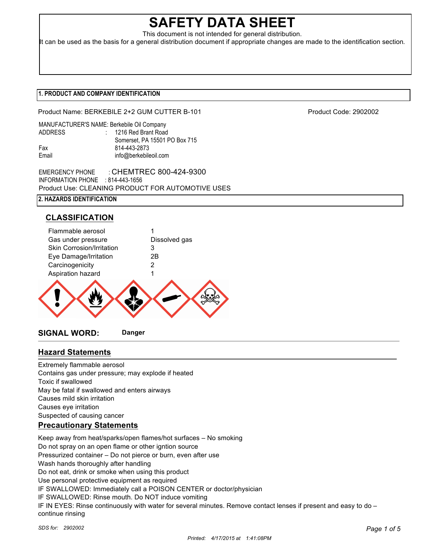# **SAFETY DATA SHEET**

This document is not intended for general distribution.

It can be used as the basis for a general distribution document if appropriate changes are made to the identification section.

### **1. PRODUCT AND COMPANY IDENTIFICATION**

Product Name: BERKEBILE 2+2 GUM CUTTER B-101 Product Code: 2902002

|                | MANUFACTURER'S NAME: Berkebile Oil Company |
|----------------|--------------------------------------------|
| <b>ADDRESS</b> | : 1216 Red Brant Road                      |
|                | Somerset, PA 15501 PO Box 715              |
| Fax            | 814-443-2873                               |
| Email          | info@berkebileoil.com                      |

EMERGENCY PHONE : CHEMTREC 800-424-9300 INFORMATION PHONE : 814-443-1656 Product Use: CLEANING PRODUCT FOR AUTOMOTIVE USES

# **2. HAZARDS IDENTIFICATION**

# **CLASSIFICATION**



# **Hazard Statements**

Extremely flammable aerosol Contains gas under pressure; may explode if heated Toxic if swallowed May be fatal if swallowed and enters airways Causes mild skin irritation Causes eye irritation Suspected of causing cancer **Precautionary Statements**

Keep away from heat/sparks/open flames/hot surfaces – No smoking Do not spray on an open flame or other igntion source Pressurized container – Do not pierce or burn, even after use Wash hands thoroughly after handling Do not eat, drink or smoke when using this product Use personal protective equipment as required IF SWALLOWED: Immediately call a POISON CENTER or doctor/physician IF SWALLOWED: Rinse mouth. Do NOT induce vomiting IF IN EYES: Rinse continuously with water for several minutes. Remove contact lenses if present and easy to do – continue rinsing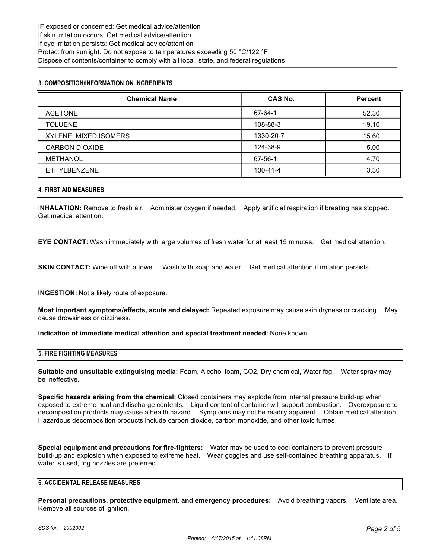| 3. COMPOSITION/INFORMATION ON INGREDIENTS |                |                |  |  |
|-------------------------------------------|----------------|----------------|--|--|
| <b>Chemical Name</b>                      | CAS No.        | <b>Percent</b> |  |  |
| <b>ACETONE</b>                            | 67-64-1        | 52.30          |  |  |
| <b>TOLUENE</b>                            | 108-88-3       | 19.10          |  |  |
| XYLENE, MIXED ISOMERS                     | 1330-20-7      | 15.60          |  |  |
| <b>CARBON DIOXIDE</b>                     | 124-38-9       | 5.00           |  |  |
| <b>METHANOL</b>                           | 67-56-1        | 4.70           |  |  |
| <b>ETHYLBENZENE</b>                       | $100 - 41 - 4$ | 3.30           |  |  |

#### **4. FIRST AID MEASURES**

I**NHALATION:** Remove to fresh air. Administer oxygen if needed. Apply artificial respiration if breating has stopped. Get medical attention.

**EYE CONTACT:** Wash immediately with large volumes of fresh water for at least 15 minutes. Get medical attention.

**SKIN CONTACT:** Wipe off with a towel. Wash with soap and water. Get medical attention if irritation persists.

**INGESTION:** Not a likely route of exposure.

**Most important symptoms/effects, acute and delayed:** Repeated exposure may cause skin dryness or cracking. May cause drowsiness or dizziness.

**Indication of immediate medical attention and special treatment needed:** None known.

#### **5. FIRE FIGHTING MEASURES**

**Suitable and unsuitable extinguising media:** Foam, Alcohol foam, CO2, Dry chemical, Water fog. Water spray may be ineffective.

**Specific hazards arising from the chemical:** Closed containers may explode from internal pressure build-up when exposed to extreme heat and discharge contents. Liquid content of container will support combustion. Overexposure to decomposition products may cause a health hazard. Symptoms may not be readily apparent. Obtain medical attention. Hazardous decomposition products include carbon dioxide, carbon monoxide, and other toxic fumes

**Special equipment and precautions for fire-fighters:** Water may be used to cool containers to prevent pressure build-up and explosion when exposed to extreme heat. Wear goggles and use self-contained breathing apparatus. If water is used, fog nozzles are preferred.

#### **6. ACCIDENTAL RELEASE MEASURES**

**Personal precautions, protective equipment, and emergency procedures:** Avoid breathing vapors. Ventilate area. Remove all sources of ignition.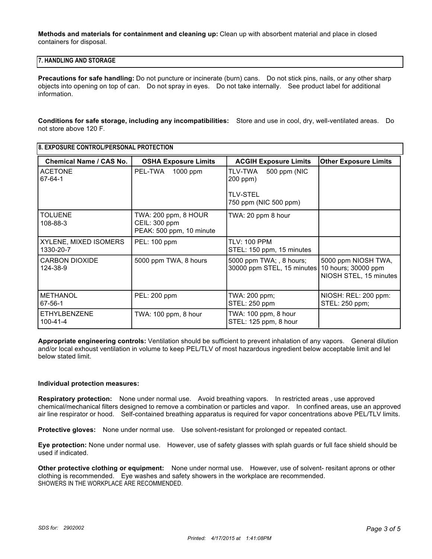**Methods and materials for containment and cleaning up:** Clean up with absorbent material and place in closed containers for disposal.

#### **7. HANDLING AND STORAGE**

**Precautions for safe handling:** Do not puncture or incinerate (burn) cans. Do not stick pins, nails, or any other sharp objects into opening on top of can. Do not spray in eyes. Do not take internally. See product label for additional information.

**Conditions for safe storage, including any incompatibilities:** Store and use in cool, dry, well-ventilated areas. Do not store above 120 F.

| 8. EXPOSURE CONTROL/PERSONAL PROTECTION |                                                                   |                                                        |                                                                      |  |  |
|-----------------------------------------|-------------------------------------------------------------------|--------------------------------------------------------|----------------------------------------------------------------------|--|--|
| <b>Chemical Name / CAS No.</b>          | <b>OSHA Exposure Limits</b>                                       | <b>ACGIH Exposure Limits</b>                           | <b>Other Exposure Limits</b>                                         |  |  |
| <b>ACETONE</b><br>67-64-1               | PEL-TWA<br>1000 ppm                                               | 500 ppm (NIC<br>TLV-TWA<br>200 ppm)                    |                                                                      |  |  |
|                                         |                                                                   | <b>TLV-STEL</b><br>750 ppm (NIC 500 ppm)               |                                                                      |  |  |
| <b>TOLUENE</b><br>108-88-3              | TWA: 200 ppm, 8 HOUR<br>CEIL: 300 ppm<br>PEAK: 500 ppm, 10 minute | TWA: 20 ppm 8 hour                                     |                                                                      |  |  |
| XYLENE, MIXED ISOMERS<br>1330-20-7      | PEL: 100 ppm                                                      | <b>TLV: 100 PPM</b><br>STEL: 150 ppm, 15 minutes       |                                                                      |  |  |
| <b>CARBON DIOXIDE</b><br>124-38-9       | 5000 ppm TWA, 8 hours                                             | 5000 ppm TWA; , 8 hours;<br>30000 ppm STEL, 15 minutes | 5000 ppm NIOSH TWA,<br>10 hours; 30000 ppm<br>NIOSH STEL, 15 minutes |  |  |
| <b>METHANOL</b><br>67-56-1              | PEL: 200 ppm                                                      | TWA: 200 ppm;<br>STEL: 250 ppm                         | NIOSH: REL: 200 ppm:<br>STEL: 250 ppm;                               |  |  |
| <b>ETHYLBENZENE</b><br>100-41-4         | TWA: 100 ppm, 8 hour                                              | TWA: 100 ppm, 8 hour<br>STEL: 125 ppm, 8 hour          |                                                                      |  |  |

**Appropriate engineering controls:** Ventilation should be sufficient to prevent inhalation of any vapors. General dilution and/or local exhoust ventilation in volume to keep PEL/TLV of most hazardous ingredient below acceptable limit and lel below stated limit.

#### **Individual protection measures:**

**Respiratory protection:** None under normal use. Avoid breathing vapors. In restricted areas , use approved chemical/mechanical filters designed to remove a combination or particles and vapor. In confined areas, use an approved air line respirator or hood. Self-contained breathing apparatus is required for vapor concentrations above PEL/TLV limits.

**Protective gloves:** None under normal use. Use solvent-resistant for prolonged or repeated contact.

**Eye protection:** None under normal use. However, use of safety glasses with splah guards or full face shield should be used if indicated.

**Other protective clothing or equipment:** None under normal use. However, use of solvent- resitant aprons or other clothing is recommended. Eye washes and safety showers in the workplace are recommended. SHOWERS IN THE WORKPLACE ARE RECOMMENDED.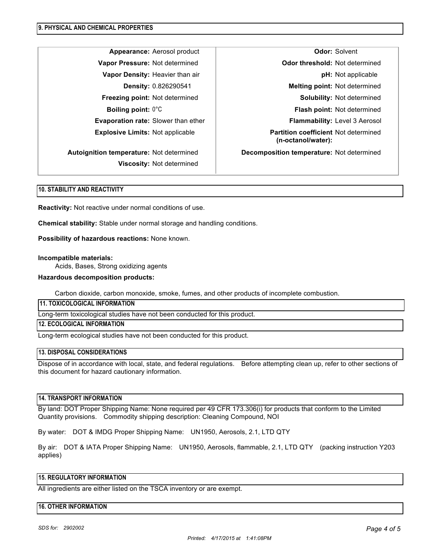**Viscosity:** Not determined

**Appearance:** Aerosol product **COD CODE:** Colvent **Odor:** Solvent **Vapor Pressure:** Not determined **Odor threshold:** Not determined **Vapor Density:** Heavier than air **phenomenon and phenomenon pH:** Not applicable **Density:** 0.826290541 **Melting point:** Not determined **Freezing point:** Not determined **Solubility: Not determined** Solubility: Not determined **Boiling point:**  $0^{\circ}$ C **Flash point:** Not determined **Evaporation rate:** Slower than ether **Flammability: Level 3 Aerosol Explosive Limits:** Not applicable **Partition coefficient** Not determined **(n-octanol/water): Autoignition temperature:** Not determined **Decomposition temperature:** Not determined

#### **10. STABILITY AND REACTIVITY**

**Reactivity:** Not reactive under normal conditions of use.

**Chemical stability:** Stable under normal storage and handling conditions.

**Possibility of hazardous reactions:** None known.

#### **Incompatible materials:**

Acids, Bases, Strong oxidizing agents

#### **Hazardous decomposition products:**

Carbon dioxide, carbon monoxide, smoke, fumes, and other products of incomplete combustion.

**11. TOXICOLOGICAL INFORMATION**

Long-term toxicological studies have not been conducted for this product.

#### **12. ECOLOGICAL INFORMATION**

Long-term ecological studies have not been conducted for this product.

#### **13. DISPOSAL CONSIDERATIONS**

Dispose of in accordance with local, state, and federal regulations. Before attempting clean up, refer to other sections of this document for hazard cautionary information.

#### **14. TRANSPORT INFORMATION**

By land: DOT Proper Shipping Name: None required per 49 CFR 173.306(i) for products that conform to the Limited Quantity provisions. Commodity shipping description: Cleaning Compound, NOI

By water: DOT & IMDG Proper Shipping Name: UN1950, Aerosols, 2.1, LTD QTY

By air: DOT & IATA Proper Shipping Name: UN1950, Aerosols, flammable, 2.1, LTD QTY (packing instruction Y203 applies)

#### **15. REGULATORY INFORMATION**

All ingredients are either listed on the TSCA inventory or are exempt.

#### **16. OTHER INFORMATION**